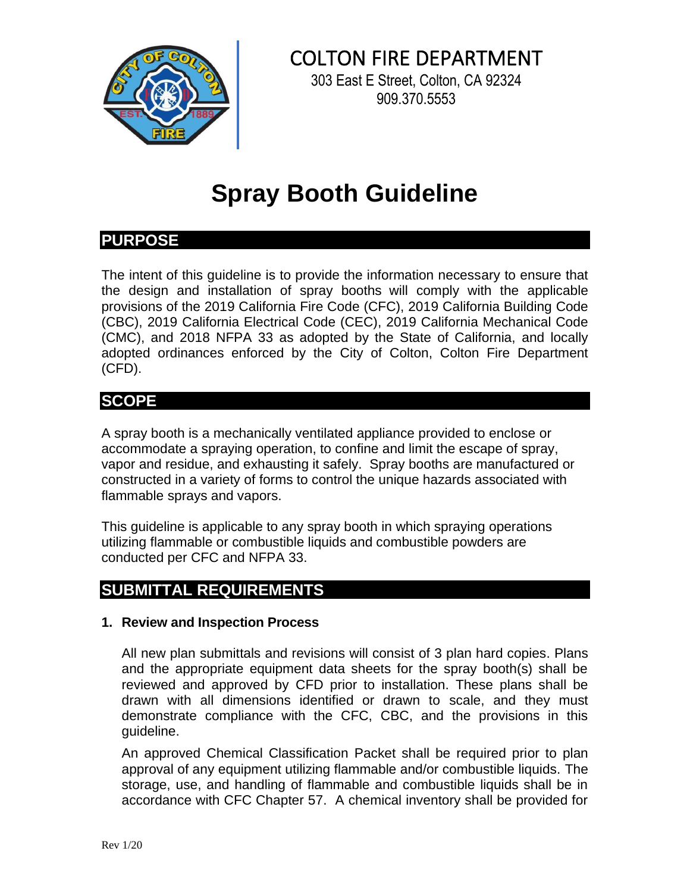

# COLTON FIRE DEPARTMENT

303 East E Street, Colton, CA 92324 909.370.5553

# **Spray Booth Guideline**

### **PURPOSE**

The intent of this guideline is to provide the information necessary to ensure that the design and installation of spray booths will comply with the applicable provisions of the 2019 California Fire Code (CFC), 2019 California Building Code (CBC), 2019 California Electrical Code (CEC), 2019 California Mechanical Code (CMC), and 2018 NFPA 33 as adopted by the State of California, and locally adopted ordinances enforced by the City of Colton, Colton Fire Department (CFD).

## **SCOPE**

A spray booth is a mechanically ventilated appliance provided to enclose or accommodate a spraying operation, to confine and limit the escape of spray, vapor and residue, and exhausting it safely. Spray booths are manufactured or constructed in a variety of forms to control the unique hazards associated with flammable sprays and vapors.

This guideline is applicable to any spray booth in which spraying operations utilizing flammable or combustible liquids and combustible powders are conducted per CFC and NFPA 33.

## **SUBMITTAL REQUIREMENTS**

#### **1. Review and Inspection Process**

All new plan submittals and revisions will consist of 3 plan hard copies. Plans and the appropriate equipment data sheets for the spray booth(s) shall be reviewed and approved by CFD prior to installation. These plans shall be drawn with all dimensions identified or drawn to scale, and they must demonstrate compliance with the CFC, CBC, and the provisions in this guideline.

An approved Chemical Classification Packet shall be required prior to plan approval of any equipment utilizing flammable and/or combustible liquids. The storage, use, and handling of flammable and combustible liquids shall be in accordance with CFC Chapter 57. A chemical inventory shall be provided for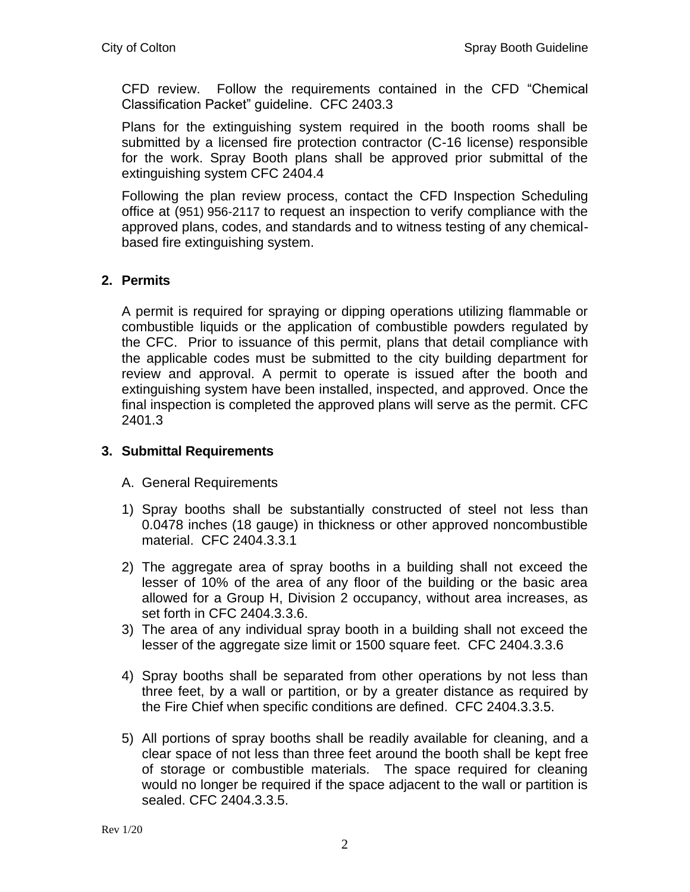CFD review. Follow the requirements contained in the CFD "Chemical Classification Packet" guideline. CFC 2403.3

Plans for the extinguishing system required in the booth rooms shall be submitted by a licensed fire protection contractor (C-16 license) responsible for the work. Spray Booth plans shall be approved prior submittal of the extinguishing system CFC 2404.4

Following the plan review process, contact the CFD Inspection Scheduling office at (951) 956-2117 to request an inspection to verify compliance with the approved plans, codes, and standards and to witness testing of any chemicalbased fire extinguishing system.

#### **2. Permits**

A permit is required for spraying or dipping operations utilizing flammable or combustible liquids or the application of combustible powders regulated by the CFC. Prior to issuance of this permit, plans that detail compliance with the applicable codes must be submitted to the city building department for review and approval. A permit to operate is issued after the booth and extinguishing system have been installed, inspected, and approved. Once the final inspection is completed the approved plans will serve as the permit. CFC 2401.3

#### **3. Submittal Requirements**

- A. General Requirements
- 1) Spray booths shall be substantially constructed of steel not less than 0.0478 inches (18 gauge) in thickness or other approved noncombustible material. CFC 2404.3.3.1
- 2) The aggregate area of spray booths in a building shall not exceed the lesser of 10% of the area of any floor of the building or the basic area allowed for a Group H, Division 2 occupancy, without area increases, as set forth in CFC 2404.3.3.6.
- 3) The area of any individual spray booth in a building shall not exceed the lesser of the aggregate size limit or 1500 square feet. CFC 2404.3.3.6
- 4) Spray booths shall be separated from other operations by not less than three feet, by a wall or partition, or by a greater distance as required by the Fire Chief when specific conditions are defined. CFC 2404.3.3.5.
- 5) All portions of spray booths shall be readily available for cleaning, and a clear space of not less than three feet around the booth shall be kept free of storage or combustible materials. The space required for cleaning would no longer be required if the space adjacent to the wall or partition is sealed. CFC 2404.3.3.5.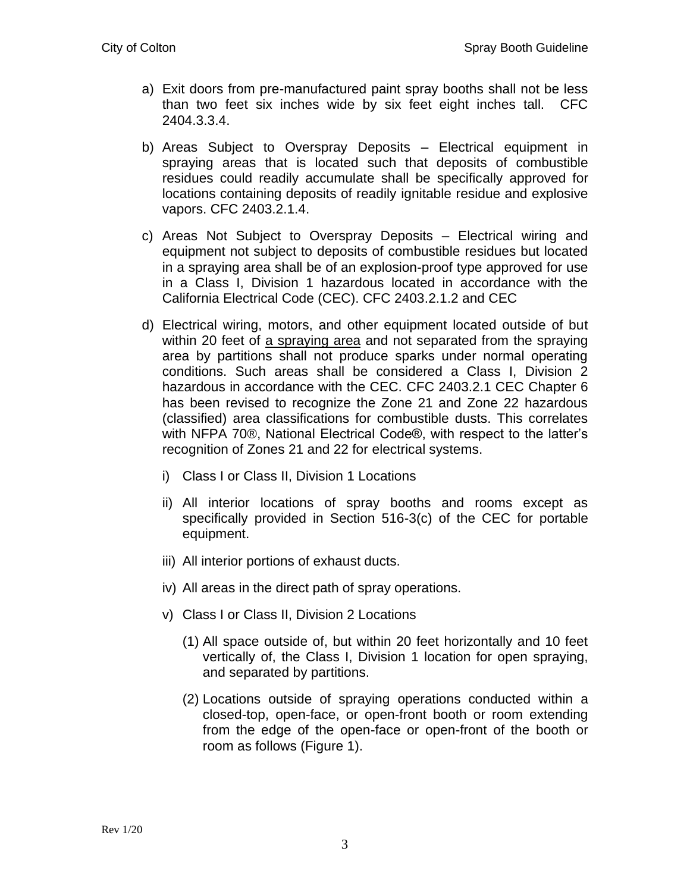- a) Exit doors from pre-manufactured paint spray booths shall not be less than two feet six inches wide by six feet eight inches tall. CFC 2404.3.3.4.
- b) Areas Subject to Overspray Deposits Electrical equipment in spraying areas that is located such that deposits of combustible residues could readily accumulate shall be specifically approved for locations containing deposits of readily ignitable residue and explosive vapors. CFC 2403.2.1.4.
- c) Areas Not Subject to Overspray Deposits Electrical wiring and equipment not subject to deposits of combustible residues but located in a spraying area shall be of an explosion-proof type approved for use in a Class I, Division 1 hazardous located in accordance with the California Electrical Code (CEC). CFC 2403.2.1.2 and CEC
- d) Electrical wiring, motors, and other equipment located outside of but within 20 feet of a spraying area and not separated from the spraying area by partitions shall not produce sparks under normal operating conditions. Such areas shall be considered a Class I, Division 2 hazardous in accordance with the CEC. CFC 2403.2.1 CEC Chapter 6 has been revised to recognize the Zone 21 and Zone 22 hazardous (classified) area classifications for combustible dusts. This correlates with NFPA 70®, National Electrical Code®, with respect to the latter's recognition of Zones 21 and 22 for electrical systems.
	- i) Class I or Class II, Division 1 Locations
	- ii) All interior locations of spray booths and rooms except as specifically provided in Section 516-3(c) of the CEC for portable equipment.
	- iii) All interior portions of exhaust ducts.
	- iv) All areas in the direct path of spray operations.
	- v) Class I or Class II, Division 2 Locations
		- (1) All space outside of, but within 20 feet horizontally and 10 feet vertically of, the Class I, Division 1 location for open spraying, and separated by partitions.
		- (2) Locations outside of spraying operations conducted within a closed-top, open-face, or open-front booth or room extending from the edge of the open-face or open-front of the booth or room as follows (Figure 1).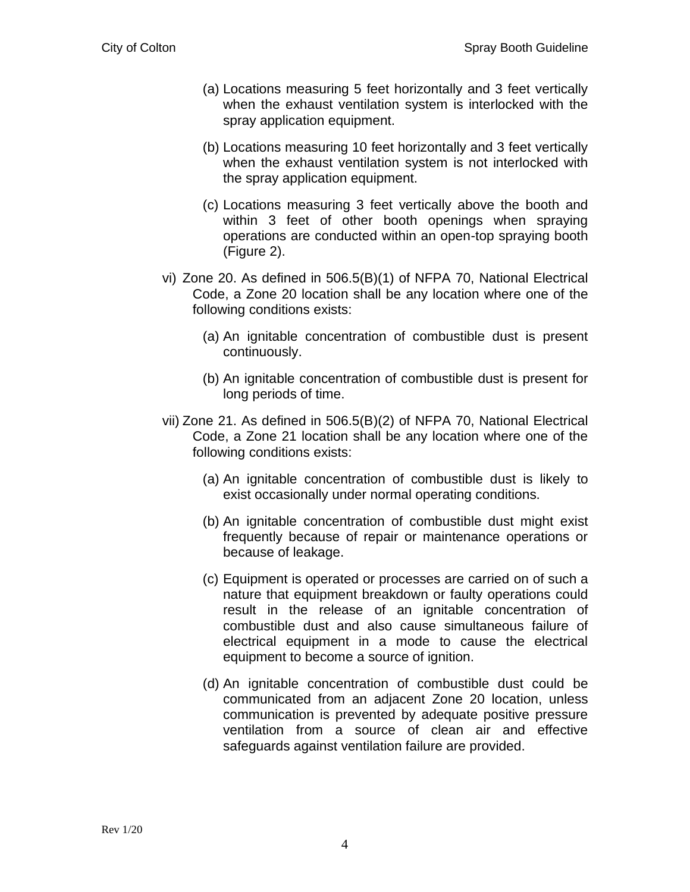- (a) Locations measuring 5 feet horizontally and 3 feet vertically when the exhaust ventilation system is interlocked with the spray application equipment.
- (b) Locations measuring 10 feet horizontally and 3 feet vertically when the exhaust ventilation system is not interlocked with the spray application equipment.
- (c) Locations measuring 3 feet vertically above the booth and within 3 feet of other booth openings when spraying operations are conducted within an open-top spraying booth (Figure 2).
- vi) Zone 20. As defined in 506.5(B)(1) of NFPA 70, National Electrical Code, a Zone 20 location shall be any location where one of the following conditions exists:
	- (a) An ignitable concentration of combustible dust is present continuously.
	- (b) An ignitable concentration of combustible dust is present for long periods of time.
- vii) Zone 21. As defined in 506.5(B)(2) of NFPA 70, National Electrical Code, a Zone 21 location shall be any location where one of the following conditions exists:
	- (a) An ignitable concentration of combustible dust is likely to exist occasionally under normal operating conditions.
	- (b) An ignitable concentration of combustible dust might exist frequently because of repair or maintenance operations or because of leakage.
	- (c) Equipment is operated or processes are carried on of such a nature that equipment breakdown or faulty operations could result in the release of an ignitable concentration of combustible dust and also cause simultaneous failure of electrical equipment in a mode to cause the electrical equipment to become a source of ignition.
	- (d) An ignitable concentration of combustible dust could be communicated from an adjacent Zone 20 location, unless communication is prevented by adequate positive pressure ventilation from a source of clean air and effective safeguards against ventilation failure are provided.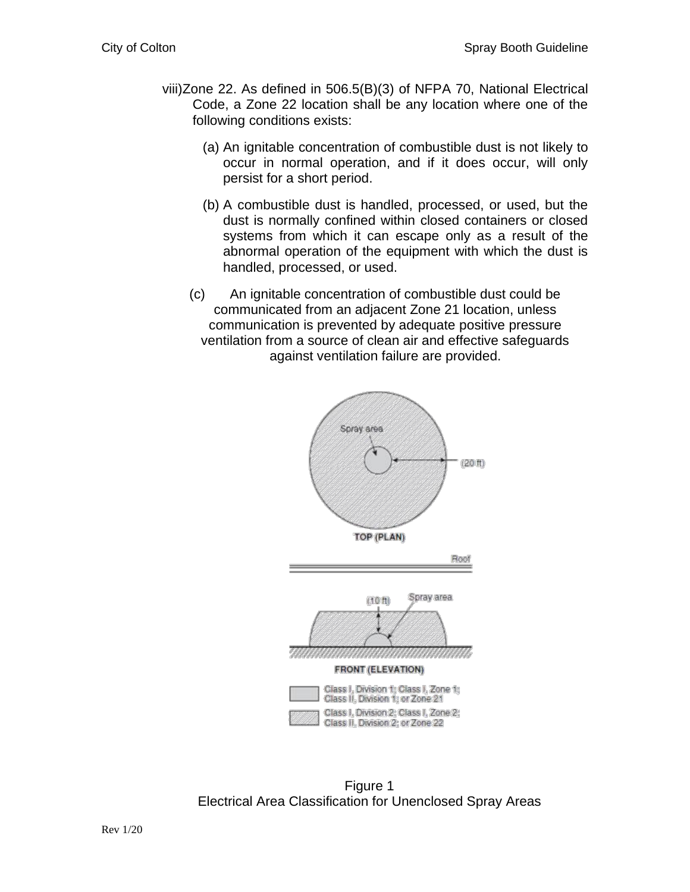- viii)Zone 22. As defined in 506.5(B)(3) of NFPA 70, National Electrical Code, a Zone 22 location shall be any location where one of the following conditions exists:
	- (a) An ignitable concentration of combustible dust is not likely to occur in normal operation, and if it does occur, will only persist for a short period.
	- (b) A combustible dust is handled, processed, or used, but the dust is normally confined within closed containers or closed systems from which it can escape only as a result of the abnormal operation of the equipment with which the dust is handled, processed, or used.
	- (c) An ignitable concentration of combustible dust could be communicated from an adjacent Zone 21 location, unless communication is prevented by adequate positive pressure ventilation from a source of clean air and effective safeguards against ventilation failure are provided.



Figure 1 Electrical Area Classification for Unenclosed Spray Areas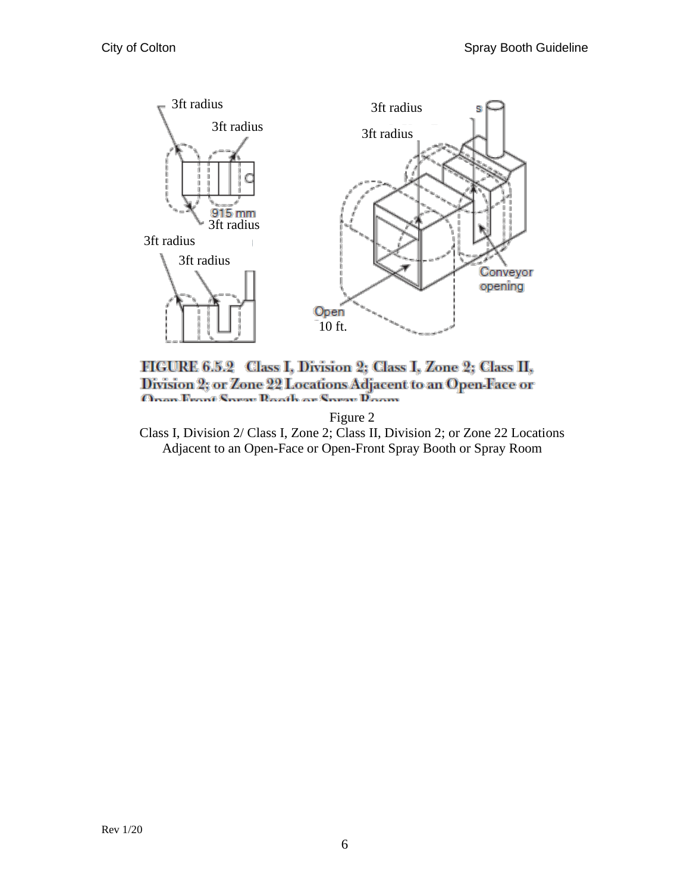

FIGURE 6.5.2 Class I, Division 2; Class I, Zone 2; Class II, Division 2; or Zone 22 Locations Adjacent to an Open-Face or Onan Front Spray Rooth or Spray Doom

Figure 2

Class I, Division 2/ Class I, Zone 2; Class II, Division 2; or Zone 22 Locations Adjacent to an Open-Face or Open-Front Spray Booth or Spray Room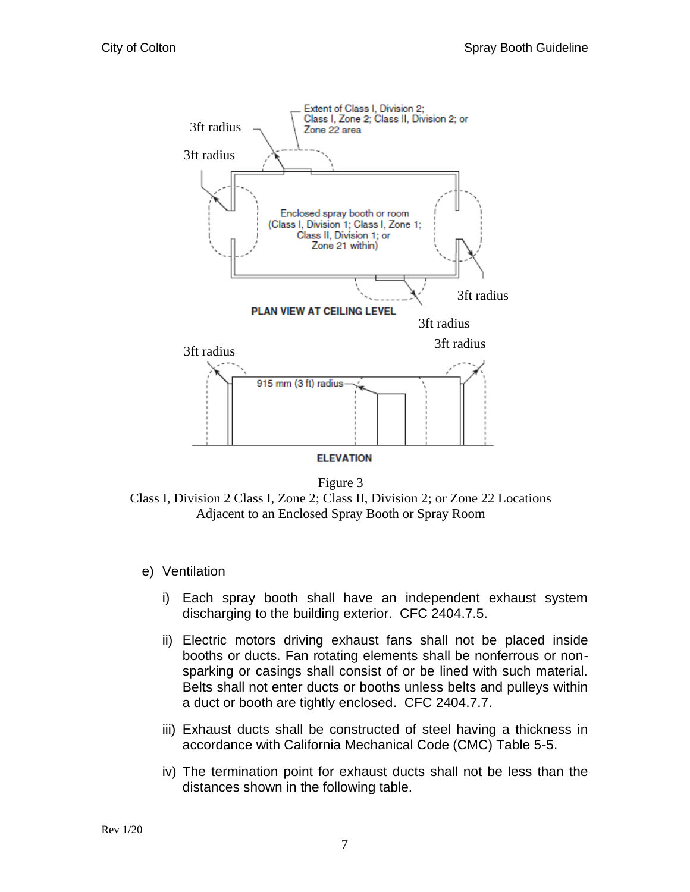

Figure 3 Class I, Division 2 Class I, Zone 2; Class II, Division 2; or Zone 22 Locations Adjacent to an Enclosed Spray Booth or Spray Room

- e) Ventilation
	- i) Each spray booth shall have an independent exhaust system discharging to the building exterior. CFC 2404.7.5.
	- ii) Electric motors driving exhaust fans shall not be placed inside booths or ducts. Fan rotating elements shall be nonferrous or nonsparking or casings shall consist of or be lined with such material. Belts shall not enter ducts or booths unless belts and pulleys within a duct or booth are tightly enclosed. CFC 2404.7.7.
	- iii) Exhaust ducts shall be constructed of steel having a thickness in accordance with California Mechanical Code (CMC) Table 5-5.
	- iv) The termination point for exhaust ducts shall not be less than the distances shown in the following table.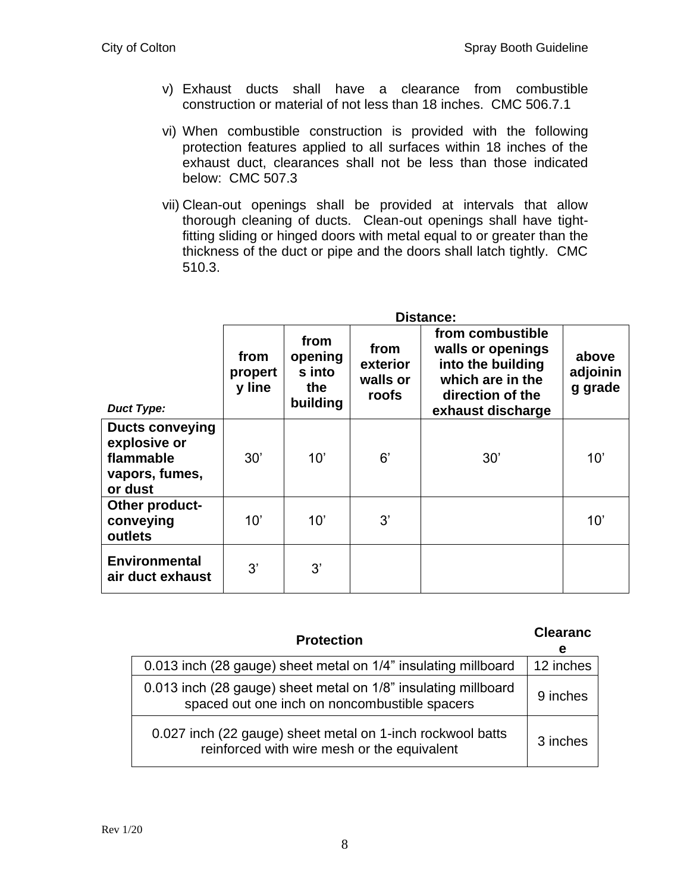- v) Exhaust ducts shall have a clearance from combustible construction or material of not less than 18 inches. CMC 506.7.1
- vi) When combustible construction is provided with the following protection features applied to all surfaces within 18 inches of the exhaust duct, clearances shall not be less than those indicated below: CMC 507.3
- vii) Clean-out openings shall be provided at intervals that allow thorough cleaning of ducts. Clean-out openings shall have tightfitting sliding or hinged doors with metal equal to or greater than the thickness of the duct or pipe and the doors shall latch tightly. CMC 510.3.

|                                                                                  | <b>Distance:</b>          |                                              |                                       |                                                                                                                         |                              |
|----------------------------------------------------------------------------------|---------------------------|----------------------------------------------|---------------------------------------|-------------------------------------------------------------------------------------------------------------------------|------------------------------|
| <b>Duct Type:</b>                                                                | from<br>propert<br>y line | from<br>opening<br>s into<br>the<br>building | from<br>exterior<br>walls or<br>roofs | from combustible<br>walls or openings<br>into the building<br>which are in the<br>direction of the<br>exhaust discharge | above<br>adjoinin<br>g grade |
| <b>Ducts conveying</b><br>explosive or<br>flammable<br>vapors, fumes,<br>or dust | 30'                       | 10'                                          | 6'                                    | 30'                                                                                                                     | 10'                          |
| Other product-<br>conveying<br>outlets                                           | 10'                       | 10'                                          | 3'                                    |                                                                                                                         | 10'                          |
| <b>Environmental</b><br>air duct exhaust                                         | 3'                        | 3'                                           |                                       |                                                                                                                         |                              |

| <b>Protection</b>                                                                                               | <b>Clearanc</b><br>е |
|-----------------------------------------------------------------------------------------------------------------|----------------------|
| 0.013 inch (28 gauge) sheet metal on 1/4" insulating millboard                                                  | 12 inches            |
| 0.013 inch (28 gauge) sheet metal on 1/8" insulating millboard<br>spaced out one inch on noncombustible spacers | 9 inches             |
| 0.027 inch (22 gauge) sheet metal on 1-inch rockwool batts<br>reinforced with wire mesh or the equivalent       | 3 inches             |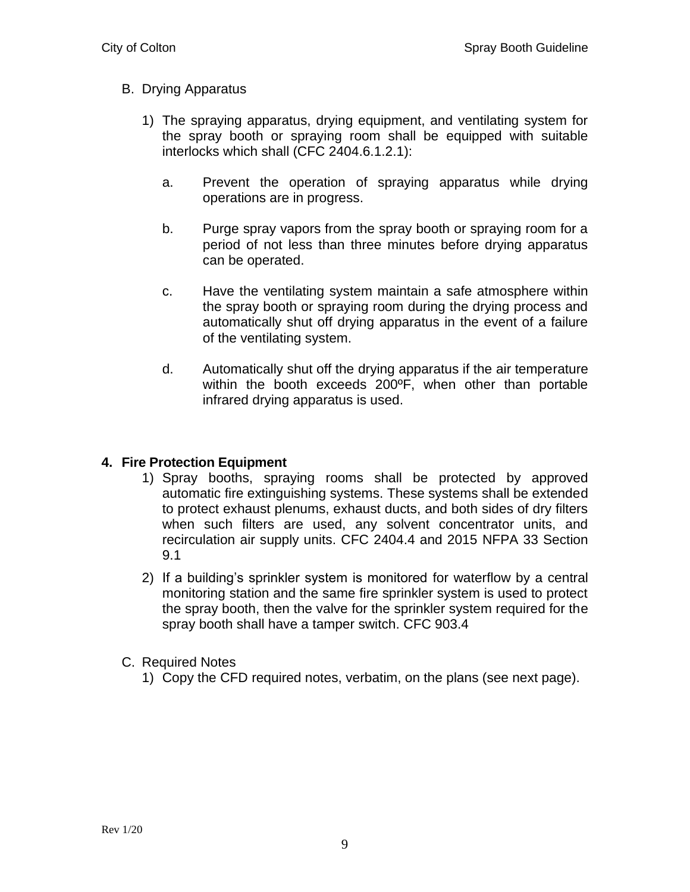#### B. Drying Apparatus

- 1) The spraying apparatus, drying equipment, and ventilating system for the spray booth or spraying room shall be equipped with suitable interlocks which shall (CFC 2404.6.1.2.1):
	- a. Prevent the operation of spraying apparatus while drying operations are in progress.
	- b. Purge spray vapors from the spray booth or spraying room for a period of not less than three minutes before drying apparatus can be operated.
	- c. Have the ventilating system maintain a safe atmosphere within the spray booth or spraying room during the drying process and automatically shut off drying apparatus in the event of a failure of the ventilating system.
	- d. Automatically shut off the drying apparatus if the air temperature within the booth exceeds 200ºF, when other than portable infrared drying apparatus is used.

#### **4. Fire Protection Equipment**

- 1) Spray booths, spraying rooms shall be protected by approved automatic fire extinguishing systems. These systems shall be extended to protect exhaust plenums, exhaust ducts, and both sides of dry filters when such filters are used, any solvent concentrator units, and recirculation air supply units. CFC 2404.4 and 2015 NFPA 33 Section 9.1
- 2) If a building's sprinkler system is monitored for waterflow by a central monitoring station and the same fire sprinkler system is used to protect the spray booth, then the valve for the sprinkler system required for the spray booth shall have a tamper switch. CFC 903.4
- C. Required Notes
	- 1) Copy the CFD required notes, verbatim, on the plans (see next page).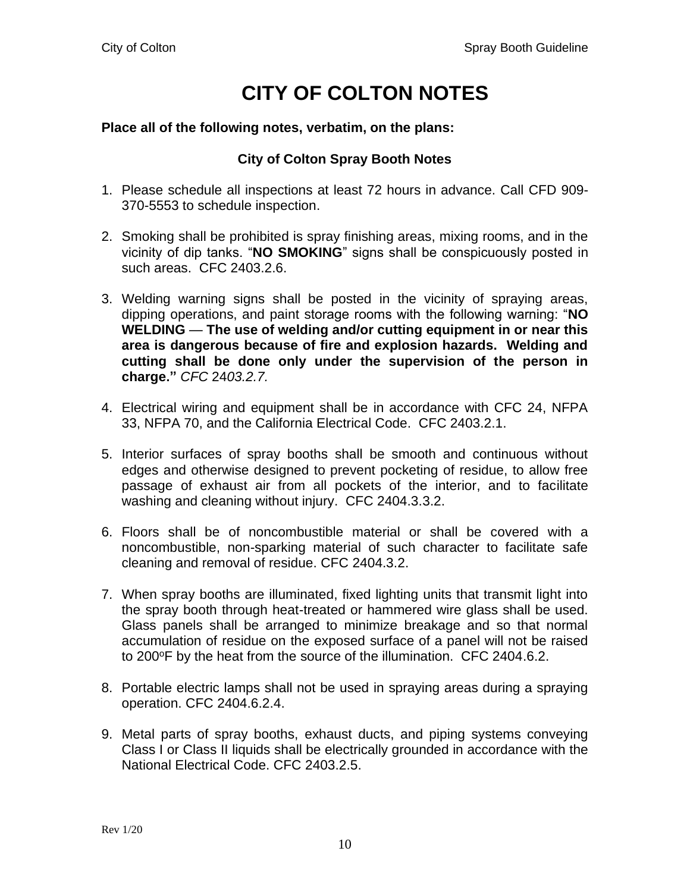## **CITY OF COLTON NOTES**

#### **Place all of the following notes, verbatim, on the plans:**

#### **City of Colton Spray Booth Notes**

- 1. Please schedule all inspections at least 72 hours in advance. Call CFD 909- 370-5553 to schedule inspection.
- 2. Smoking shall be prohibited is spray finishing areas, mixing rooms, and in the vicinity of dip tanks. "**NO SMOKING**" signs shall be conspicuously posted in such areas. CFC 2403.2.6.
- 3. Welding warning signs shall be posted in the vicinity of spraying areas, dipping operations, and paint storage rooms with the following warning: "**NO WELDING** — **The use of welding and/or cutting equipment in or near this area is dangerous because of fire and explosion hazards. Welding and cutting shall be done only under the supervision of the person in charge."** *CFC* 24*03.2.7.*
- 4. Electrical wiring and equipment shall be in accordance with CFC 24, NFPA 33, NFPA 70, and the California Electrical Code. CFC 2403.2.1.
- 5. Interior surfaces of spray booths shall be smooth and continuous without edges and otherwise designed to prevent pocketing of residue, to allow free passage of exhaust air from all pockets of the interior, and to facilitate washing and cleaning without injury. CFC 2404.3.3.2.
- 6. Floors shall be of noncombustible material or shall be covered with a noncombustible, non-sparking material of such character to facilitate safe cleaning and removal of residue. CFC 2404.3.2.
- 7. When spray booths are illuminated, fixed lighting units that transmit light into the spray booth through heat-treated or hammered wire glass shall be used. Glass panels shall be arranged to minimize breakage and so that normal accumulation of residue on the exposed surface of a panel will not be raised to 200°F by the heat from the source of the illumination. CFC 2404.6.2.
- 8. Portable electric lamps shall not be used in spraying areas during a spraying operation. CFC 2404.6.2.4.
- 9. Metal parts of spray booths, exhaust ducts, and piping systems conveying Class I or Class II liquids shall be electrically grounded in accordance with the National Electrical Code. CFC 2403.2.5.